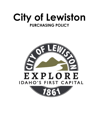

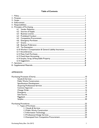# **Table of Contents**

# **APPENDICES**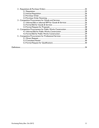| 34 |
|----|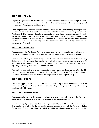#### **SECTION 1: POLICY**

To purchase goods and services in a fair and impartial manner and at a competitive price so that public dollars are expended in the most cost-effective manner possible, all while complying with any applicable federal, state, and local laws.

The City promotes a procurement environment based on the understanding that departments and divisions are in the best position to determine what they need to run their operations. The Purchasing Division is the single point of contact for all centralized procurement activities and is tasked with determining how purchases should be made. Policies, principles, processes, and procedures are meant to support the need to obtain products and services in a timely and costeffective manner while also making sure that appropriate business and legal principles and processes are followed.

# **SECTION 2: PURPOSE**

The purpose of the Purchasing Policy is to establish an overall philosophy for purchasing goods and services on behalf of the City while always being mindful that this is taxpayer money.

Considerable authority has been delegated to departments and divisions to make purchasing decisions and this requires that employees involved at every step of the process take full responsibility for understanding the City's policies, principles, processes, and procedures regarding purchasing, payments, and vendor relations.

This policy is intended to provide guidance for those making purchases on behalf of the City and is not meant to answer all questions. Refer to the Processes and Procedures appendices and related Standard Operating Procedures for guidance in following this policy.

#### **SECTION 3: SCOPE**

This policy applies to all City of Lewiston employees, City Council members, commission members acting on behalf of the City, and anyone acting as an agent of the City when making purchases with City funds.

#### **SECTION 4: ENFORCEMENT**

The responsibility for the day-to-day compliance with the Policy shall rest with the Purchasing Agent, under the general direction of the Administrative Services Director.

The Purchasing Agent shall see that each Department Manager, Division Manager, and other City employees involved in the purchasing process receive a copy of the Purchasing Policy. Certification of receipt of the Purchasing Policy shall be placed in the employee's personnel file.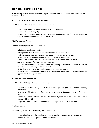# **SECTION 5: RESPONSIBILITIES**

A purchasing system cannot function properly without the cooperation and assistance of all involved parties.

#### **5.1: Director of Administrative Services**

The Director of Administrative Services' responsibility is to:

- Recommend approval of Purchasing Policy and Procedures
- Oversee the Purchasing Agent
- Promote an intelligent and harmonious relationship between the Purchasing Agent and other City Departments relative to purchases

#### **5.2: Purchasing Agent**

The Purchasing Agent's responsibility is to:

- Administer purchasing policies
- Participate on all evaluation committees for IFBs, RFPs, and RFQs
- Institute reports necessary to permit analysis of purchasing performance
- Assist Legal and City Departments with contract term negotiations
- Consolidate purchase of like or common items when feasible and beneficial
- Analyze prices paid for materials and equipment
- Request reconsideration of specifications or quantity of material if it appears that the interests of the City may be better served
- Define how to obtain savings and to coordinate purchasing procedures
- Forward useful information from sales representative interviews and direct mail to the appropriate City Departments

# **5.3: Department Directors**

The Department Director's responsibility is to:

- Determine the need for goods or services using prudent judgment, within budgetary restrictions.
- Forward useful information from sales representative interviews to the Purchasing Agent
- Direct sales representatives to the Purchasing Agent's office as their first point of contact with the City
- Negotiate contract terms and conditions with Legal and Purchasing assistance

#### **5.4: Employees**

Employee's (involved with purchases) responsibility is to:

- Become familiar with the purchasing policy, principles, processes, and procedures
- Stay within authorized spending and contract levels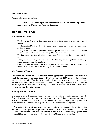# **5.5: City Council**

The council's responsibility is to:

 Take action on contracts upon the recommendation of the Purchasing Agent as supplemented by Department Managers, if required

# **SECTION 6: PRINCIPLES**

#### **6.1: Vendor Relations**

- The Purchasing Division will promote a program of fairness and professionalism with all vendors.
- The Purchasing Division will receive sales representatives as promptly and courteously as time permits
- During evaluation and negotiation periods, prices and other specific information received from vendors will not be divulged to other vendors
- The Purchasing Division will advise unsuccessful Bidders as to the disposition of their bids
- Bidding participants may protest to the City that they were prejudiced by the City's procurement or award procedures.
- City employees will interact with employees from other companies in a professional manner that will reflect well on the City and the State of Idaho.

# **6.2: Sources of Supply**

The Purchasing Division shall, with the input of the appropriate department, select sources of supply in accordance with Idaho Code §§ 67-2801 through 67-2809 and any other applicable state and federal code. This shall be accomplished with a view toward creating good vendor relations and promoting the best interests of the City. The City recognizes that frankness and fair dealings are the cornerstones of strong and lasting relationships with suppliers. In no event will favoritism be shown to vendors.

# **6.3: City Business License**

City Code Chapter 21 requires that all vendors having a business or doing business within the City of Lewiston have a City of Lewiston business license. Where an out-of-town business solicits our business by salesperson or by submitting a bid or proposal in response to an Invitation for Bid or Request for Proposals, a business license would be required.

A City business license will not be required for out-of-town consultants who are invited into the city to perform personal or professional services, regardless of the dollar amount of the contract. Personal and professional services are: 1) architectural, 2) engineering, 3) accounting, 4) legal, 5) financial, 6) insurance, 7) labor negotiations, 8) artistic, and 9) medical.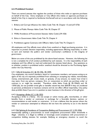# **6.4: Prohibited Conduct**

There are several statutes that regulate the conduct of those who make or approve purchases on behalf of the City. Every employee or City official who makes or approves purchases on behalf of the City is required to familiarize him/herself and act in accordance with the following statutes:

- 1. Bribery and Corrupt Influence Act: Idaho Code Title 18, Chapter 13 and § 67-5726
- 2. Misuse of Public Moneys: Idaho Code Title 18, Chapter 57
- 3. Willful Avoidance of Procurement Statutes: Idaho Code § 59-1026
- 4. Ethics in Government: Idaho Code Title 74, Chapter 4
- 5. Prohibitions against Contracts with Officers: Idaho Code Title 74, Chapter 5

All employees and City officials must refrain from unethical or illegal purchasing practices. It is important to protect decision impartiality, including appearances affecting impartiality, in order to earn and maintain the public's and vendor community's confidence in the integrity of government.

Below are some of the acts prohibited by the above-listed statutes. However, the following list is not a complete list of all conduct prohibited by such statutes. It is the responsibility of each employee and City official to read and understand the statutes listed above. Any questions as to whether conduct is prohibited and/or unethical should be directed to the Purchasing Agent and/or the City Attorney.

#### 6.4.1: Gifts & Gratuities (I.C. §§ 18-1356, 18-1359)

City employees, city council members, board or commission members, and anyone acting as an agent of the city are expressly prohibited from soliciting or accepting any rebate, merchandise, money, entertainment, gift, travel, meals, or gratuity, of any amount, no matter how trivial it may seem, from any person, company, firm, or corporation to which any purchase order or contract is, or might be, awarded. Therefore, while Idaho Code §§ 18-1356(5) and 18- 1359(1)(b), do not prohibit trivial gifts or benefits valued less than \$50.00 if they are incidental to personal, professional or business contacts and do not affect official impartiality, City policy does prohibit these if you are in a position to steer business in the direction of the gift giver.

# 6.4.2: Accepting a Bribe (I.C. § 18-1352)

Accepting a bribe is a felony. Do not accept or solicit money, gifts, merchandise, or other benefits from a vendor or contractor in exchange for a favorable decision, opinion, or recommendation to said vendor or contractor. It is not a defense that the person whom the vendor or contractor attempted to influence did not have the authority to act in the desired way.

6.4.3: Bid Splitting & Avoidance of Competitive Bidding and Procurement (I.C. § 59-1026) Intentionally splitting a procurement to avoid competitive procurement dollar thresholds is illegal. Likewise, it is illegal to willfully or knowingly avoid compliance with procurement or competitive bidding statutes; for example, falsifying an emergency situation to avoid the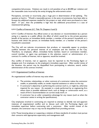competitive bid process. Violation can result in civil penalties of up to \$5,000 per violation and the reasonable costs incurred by the entity bringing the enforcement action.

Perceptions, correctly or incorrectly, play a huge part in determination of bid splitting. The question at hand is: "Would a reasonable person, in the same circumstances, have been able to foresee the additional expenses needed for the project or task, which were purchased at a later date?" If "yes", then the probability is high that the additional procurement is a case of intentional bid splitting.

# 6.4.4: Conflict of Interest (I.C. Title 74, Chapters 4 and 5)

6.4.4.1 Conflict of Interest: Any official action or any decision or recommendation by a person acting in a capacity as a public official, the effect of which would be to the private pecuniary benefit of the person, an immediate family member, a member of the person's household, or a business with which the person, an immediate family member, or a member of the person's household is associated.

The City will not tolerate circumstances that produce, or reasonably appear to produce, conflicts between the personal interest of an employee and the interests of the City. Therefore, no employee, officer, immediate family member, board or commission member, council member, or agent may participate in the selection, award, or administration of a contract if a conflict of interest, real or apparent, would be involved.

Any conflict of interest, real or apparent, must be reported to the Purchasing Agent or designee and, if an employee, to the employee's immediate supervisor. After careful review of the situation, the person may be disqualified from participating in selection, award, and/or administration of the contract involved.

# 6.4.5: Organizational Conflicts of Interest:

An organizational conflict of interest may exist when:

- The activities, relationships, or other contracts of a contractor makes the contractor unable, or potentially unable, to render impartial assistance or advice to the city;
- A contractor's objectivity in performing the contract work is, or might be, otherwise impaired for any reason. An example is a study performed by an engineering firm where there is possible additional work, such as design or construction work, as a result of firm's recommendation on current study work; or
- A contractor has an unfair competitive advantage for any reason (such as when the contractor assists in writing the specifications).

City employees involved in contracting are required to attempt to identify real and apparent instances of organizational conflict and to discuss such with the Purchasing Agent and immediate supervisor before contracting with a contractor. After careful review of the situation, the contractor may or may not be disqualified from providing services.

6.4.6: Those knowing about or suspecting a violation of these standards of conduct must pursue their concerns with appropriate supervisory and management staff.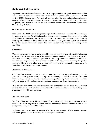# **6.5: Competitive Procurement**

To promote fairness for vendors and wise use of taxpayer dollars, all goods and services will be obtained through competitive processes, unless exempted (Idaho Code §§ 67-2801 – 67-2809 and  $\S$  67-2320). Process to be followed will be determined by total estimated costs, including shipping, delivery, installation, length of contract, contract extensions, additional project tasks and phases, etc. Purchase will not be split to avoid competitive procurement requirements (Idaho Code § 59-1026).

# **6.6: Emergency Purchases**

Idaho Code § 67-2808 permits the purchase (without competitive procurement processes) of any supplies or services for which immediate procurement is essential in an emergency. Idaho Code defines an emergency as a great public calamity (flood, fire, epidemic, other disaster); necessary for national or local defense; or necessary to safeguard life, health, or property. Before any procurement may occur, the City Council must declare the emergency by resolution.

# **6.7: Grants**

When purchases are fully or partially funded by state or federal dollars, it is the City's intention to follow all applicable federal and state guidelines where required. The typical process is to follow the most stringent applicable procedures. This may result in a combination of federal, state and local requirements. It is the responsibility of the department receiving the grant to become familiar with and follow any procurement requirements mandated by the grant while also following all city and state requirements.

# **6.8: Business Preferences**

6.8.1: The City believes in open competition and does not have any preferences, quotas, or goals for purchasing from small, minority, or disadvantaged businesses, except with some federal funding. However, departments are encouraged to notify these businesses of available bid/quote opportunities and to purchase goods or services from them when possible.

6.8.2: Idaho Code allows, and sometimes requires, preferences for an Idaho vendor over an out-of-state vendor. Such preferences are dependent on various factors and applicability needs to be determined with each purchase.

# **6.9: Tax Exemption**

The City of Lewiston is an Idaho Municipal Corporation and therefore is exempt from all federal excise taxes, regardless of seller's location, and exempt from all Idaho state sales tax for items purchased in, or shipped to, Idaho.

Employees need to be sure to mention the City is tax exempt. If the vendor requests verification, please contact Purchasing for an exemption certificate.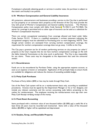If employee is physically obtaining goods or services in another state, the purchase is subject to that state's and locality's tax policies.

# **6.10: Workers Compensation and General Liability Insurances**

All contactors, subcontractors and businesses providing a service to the City that is performed on City property or on someone else's property at the direction of the City must provide the City with proof of Worker's Compensation and General Liability insurances.The Workers Compensation policy must comply with Idaho Code Sections 72-102(11) and 72-318(2). No waiver for coverage is permitted and no other type of insurance can be used as a substitute for Worker's Compensation Insurance.

There are certain occupational exemptions from coverage allowed and listed under Idaho Code, Section 72-212. If there is a qualified exemption, a written statement indicating the occupational category must be submitted to Purchasing prior to work beginning. NOTE: Even though certain vendors are exempted from carrying workers compensation coverage, the requirement for workers compensation coverage does not go away: It shifts to the City.

The City pays a premium tax for all vendors performing services on city property (or other's' property at the City's request) that do not have workers compensation coverage on file with the Idaho Industrial Commission at the time work is performed. The City is also responsible for any claims. These costs may be chargeable to the department that used the uninsured vendor.

#### **6.11: Encumbrances**

Funds are to be encumbered by Purchase Order, using the appropriate expense account, as soon as an expense is known or anticipated. Application of this principle helps to ensure funds are available for obligations and reduces the chances of exceeding available budget.

# **6.12: Petty Cash Purchases**

Purchases of forty dollars (\$40) or less may be made through Petty Cash.

Use of the Petty Cash system will be on a reimbursement basis only, according to established procedures. Invoices must be signed by the Department Manager or his or her designee, and include any relevant comments and the correct accounting code before presenting to the cashier for reimbursement. The employee receiving the reimbursement must sign their own Petty Cash Receipt verifying receipt of the money.

# **6.13: Fixed Asset Accounting**

Items purchased with a minimum value of one thousand dollars (\$1,000) and a useful life of at least three (3) years must be recorded and inventoried. Items with a value of five thousand dollars (\$5,000) or higher will be capitalized and depreciated.

# **6.14: Surplus, Scrap, and Recyclable Property**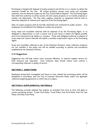Purchasing is charged with disposal of surplus property and will do so in a manner to obtain the maximum benefit for the City. All surplus property, except scrap metal and recyclable materials, must be declared surplus by the City Council before disposal. The Purchasing Agent then shall have authority to sell by auction all such surplus property or to transfer property to another city department. No City asset, supplies, materials, or equipment shall be sold or otherwise disposed of, without prior approval of the Purchasing Agent.

Sales of surplus property shall be formally advertised and conducted by public auction. City employees are prohibited from bidding on surplus city property.

Scrap metal and recyclable materials shall be disposed of by the Purchasing Agent, or as delegated to departments, in such a manner and at such times to obtain the highest possible price from interested scrap dealers or recyclers. Those with delegated authority to dispose of scrap metal and recycle materials will submit a monthly scrap/recycle report to the Purchasing Agent.

Scrap and recyclables collected as part of the Sanitation Division's waste collection programs are not included in this policy and will be handled according to policies and procedures established by the Sanitation Division.

# **6.15: Suggestions**

Suggestions that will help reduce costs, promote efficiency, or improve supplier service are both welcome and requested. Cost reduction ideas should reduce costs without a corresponding reduction in quality of service.

# **SECTION 7: SANCTIONS**

Employees having been investigated and found to have violated the purchasing policy will be disciplined in accordance with the City of Lewiston Personnel Policy and/or any applicable collective bargaining agreement to which they are subject.

# **SECTION 8: SUPPLEMENTAL MATERIALS**

The following currently adopted City policies, as amended from time to time, will apply to certain purchasing actions: Credit Card Policy, Travel Policy, Fuel Card Policy, Pool Car Use Policy, and Petty Cash Policy.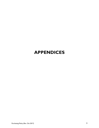# **APPENDICES**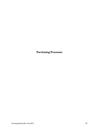**Purchasing Processes**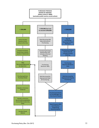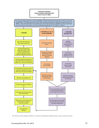

\*This flow chart shows Category A bidding. For information regarding the Category B process, please contact Purchasing.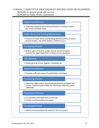# FORMAL COMPETITIVE PROCUREMENT SPECIFICATION DEVELOPMENT

# >\$100,000 for general goods and services

# >\$200,000 for Public Works construction

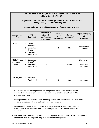# **GUIDELINES FOR ACQUIRING PROFESSIONAL SERVICES (Idaho Code § 67-2320)**

# **Engineering, Architectural, Landscape Architectural, Construction Management, & Land Surveying Services**

| Anticipated<br><b>Fees</b>                  | <b>RFQ</b><br>Option(s)                                                                                              | Minimum #<br>of Firm(s)<br>or Person(s)<br><b>Considered</b> | <b>Minimum</b><br># of<br><b>Evaluators</b> | <b>Interview</b><br>Required <sup>4</sup> | <b>Approval/Signing</b><br>of<br>Contract            |
|---------------------------------------------|----------------------------------------------------------------------------------------------------------------------|--------------------------------------------------------------|---------------------------------------------|-------------------------------------------|------------------------------------------------------|
| \$0-\$25,000                                | <b>Direct</b><br>I.<br>Request <sup>1</sup><br>Consultant<br>2.<br>Roster<br>Published<br>3.<br><b>Public Notice</b> |                                                              |                                             | No                                        | Department<br>Director                               |
| >\$25,000 but<br>not to exceed<br>\$200,000 | Consultant<br>Ι.<br>Roster <sup>2</sup><br>Published<br>2.<br><b>Public Notice</b>                                   | 3                                                            | 1 <sup>3</sup>                              | Optional                                  | City Manager<br>$≥$ \$50,000:<br><b>City Council</b> |
| $>$ \$200,000                               | Published<br>$\mathbf{L}$<br><b>Public Notice</b>                                                                    | 3                                                            | 3                                           | Yes                                       | <b>City Council</b>                                  |

**Selection based on qualifications only. Cannot ask for prices.**

- 1 Even though we are not required to use competitive selection for services valued below \$25,000, we are still required to select a consultant that is well qualified to provide the services.
- 2 If anticipated fees are over \$100,000 and using roster, send abbreviated RFQ with more specific project information to at least three firms on roster.
- 3 If the evaluator has expertise in the services being obtained, then a single evaluator is acceptable. If the evaluator does not have expertise, at least two evaluators are required.
- 4 Interviews, when optional, may be conducted by phone, video conference, web, or in person. When interviews are required, they must be conducted in person.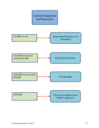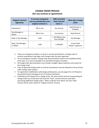# **CHANGE ORDER PROCESS (for any contract or agreement)**

| <b>Original Contract</b><br>Signed by: | <b>AND amended</b><br>% increase (singularly<br>and accumulatively) over<br>total contract<br>original contract is:<br>value is: |                | Who signs change<br>order:        |
|----------------------------------------|----------------------------------------------------------------------------------------------------------------------------------|----------------|-----------------------------------|
| Department                             | 10% or less                                                                                                                      | any amount     | Dept Director or<br>Delegate      |
| City Manager or<br>Mayor               | 10% or less                                                                                                                      | any amount     | Dept Director                     |
| Dept or City Manager                   | > \$25,000 but less<br>$>10\%$<br>than \$50,000                                                                                  |                | <b>City Manager</b>               |
| Dept, City Manager,<br>or Mayor        | $>10\%$                                                                                                                          | $\ge$ \$50,000 | Council with<br>Mayor's signature |

- Unless an emergency situation, no work or services pertaining to a change order or contract amendment may begin until change order has been approved.
- For an emergency situation, change order documentation needs to be completed within three days, or as soon as possible if an extended emergency situation.
- All change order documentation must include a budget impact statement and reason for the change order.
- Copy of approved change order or contract amendment must be attached to the purchase order change order request.
- For agreement modifications with design professionals, see also page 24 (1.5.6 Phased or Associated Project) and page 31 (5.3.4 Contract Extension).
- Following Council approval of a change order, the total contract amount incorporating all change orders up to that point will reset the "base" contract amount used when processing additional change orders. When using the chart above, the new "base" amount will be used in place of "original contract" amount.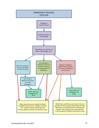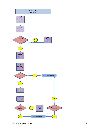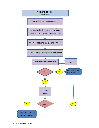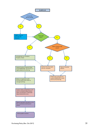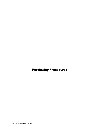**Purchasing Procedures**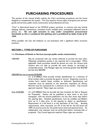# **PURCHASING PROCEDURES**

This portion of the manual briefly outlines the City's purchasing procedures and the forms designed to complement this system. The City acquires various types of property and services: goods and services; public works construction; and professional services.

"Cost" is determined based on the WHOLE project, purchase, or contract and may include shipping, delivery, maintenance, consultant travel, multiple years, anticipated additional tasks & phases, etc. **Do not split amounts to stay under competitive procurement thresholds as this is considered bid splitting and is prohibited by Idaho Code § 59- 1026.**

When possible, the City will endeavor to use businesses with a significant Idaho economic presence.

# **SECTION 1: TYPES OF PURCHASES**

# **1.1: Purchases of Goods or Services (except public works construction)**

<\$50,000 May be conducted with any vendor believed to provide the best value. Obtaining competitive quotes is not required, but is encouraged. When applicable, these purchases should be spread out over the various local vendors who are able to provide the same item(s) or service(s) at comparable prices. City Manager signs any contracts greater than \$25,000 but less than \$50,000.

# ≥\$50,000 but not to exceed \$100,000:

I.C. § 67-2806(1) Must provide written specifications to a minimum of three vendors able to provide the good or service. Responses must be in written form: mailed, faxed, emailed, or delivered. Specifications and responses must be attached to the electronic requisition (in Munis). Records must be maintained for a minimum of six months. City Council approval required. Mayor signs any contract.

Over \$100,000: I.C. § 67-2806(2) Must be formally bid (see Invitation for Bid or Request for Proposals). Notice will be published at least twice in the local newspaper, with the second publication not less than seven days before the opening date. Detailed specifications must be available and Bidders have up to 3 days prior to bid opening to object to specifications. Requirement of a bid bond is at the discretion of the City. Bonding requirements, when exercised, are 5% of the bid for the bid bond and 100% of contract price for the performance bond and payment bond. An independent cost estimate must be performed before receiving bids or proposals. City Council approval required. Mayor signs any contract.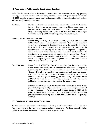#### **1.2 Purchases of Public Works Construction Services**

Public Works construction is basically all construction and maintenance on city property buildings, roads, and facilities with non-city personnel. Plans and specifications for projects >\$10,000 must be prepared by, and construction reviewed by, a licensed professional engineer (Idaho Code § 54-1218) or architect.

<\$50,000: May be conducted with any contractor believed to provide the best value for the City; however, contractor must have Idaho trade license to perform services (e.g. electrical, plumbing, HVAC, general contractor, etc.). Obtaining competitive quotes is not required, but is encouraged. Contracts above \$25,000 must be signed by the City Manager.

#### ≥\$50,000 but not to exceed \$200,000:

Idaho Code § 67-2805(2). A minimum of three (3) written bids from Idaho Public Works licensed contractors is required. The request must be in writing with a reasonable description and allow the potential vendors at least three days for response and an opportunity to object to the specifications. Bid security of at least 5% is required. Response is required to be in written form: by mail, fax, email, or delivered. The specifications and quotes must be attached to the requisition. Records must be maintained for a minimum of six months. City Council makes award and Mayor signs contract. Payment and performance bonds at 100% of contract value are required.

Over \$200,000: Idaho Code  $\S$  67-2805(3). Formal bid required (see Invitation for Bid). Code allows two categories of competitive processes: Category A permits any Idaho-licensed public works contractor to submit a bid. Category B involves pre-qualifying contractors and only those contractors may submit a bid for a project. (Contact Purchasing for additional information on Category B bidding.) For both categories, notice will be published at least twice in the local newspaper, with the second publication not less than seven days before the opening date.

> Detailed specifications must be available and Bidders have up to 3 days prior to bid opening to object to specifications. Bid security of at least 5% of bid is required. Performance and payment bonds at 100% of the contract value are also required. An independent cost estimate must be performed before receiving bids. City Council makes award. Mayor signs contract.

#### **1.3: Purchases of Information Technology**

Purchases or services related to information technology must be submitted to the Information Technology Manager for review and authorization to purchase. Purchase must also follow applicable purchasing process in 1.1 based on total expected costs.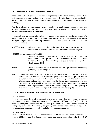# **1.4: Purchases of Professional Design Services**

Idaho Code § 67-2320 governs acquisition of engineering, architectural, landscape architectural, land surveying, and construction management services. All professional services obtained by the City shall be based on demonstrated competence and qualifications of the firm(s) or person(s).

The City shall establish a consultant roster by publishing a public notice requesting Statements of Qualification (SOQ). The City's Purchasing Agent shall retain these SOQs until such time as the next consultant roster is established.

Anticipated fees for determining selection process encompasses all anticipated stages of a project: preliminary study, conceptual design, final design, construction bidding, construction oversight, project closeout and any anticipated additional phases or tasks. When the anticipated fees are:

\$25,000 or less: Selection based on the evaluation of a single firm's or person's qualifications is permitted to allow timely response to small projects.

>\$25,000 but not to exceed \$200,000:

Selection is based on the evaluation of a minimum of three firms' qualifications. These qualifications shall be obtained from the Consultant Roster **OR** through the publishing of a public notice of Request for Qualifications (RFQ).

- >\$200,000: Selection is based on the evaluation of firms' qualifications obtained by publishing a public RFQ notice.
- NOTE: Professionals selected to perform services pertaining to tasks or phases of a larger project, selected outside of a competitive process for the overall project, may be excluded from participation in later phases of the project if the earlier services allowed access to information that would give the firm an unfair competitive advantage over other firms or could be perceived as avoidance of competitive procurement statutes. See Organizational Conflict of Interest (page 5) and Bid Splitting & Avoidance of Competitive Bidding and Procurement Statutes (page 4).

# **1.5: Purchases Exempted from Competitive Procurement**

# 1.5.1 Emergency

An emergency exists if there is a great public calamity for which delay can impact the security, life, health, or property of Lewiston's citizens. For amounts ≥\$50,000, the City Council must make the emergency declaration (Idaho Code § 67-2808(1)(a)). Once Council declares an emergency, purchases of materials, equipment, and services necessary to mitigate the immediate emergency are not required to follow competitive processes.

#### 1.5.2 Sole Source

Situations where there is only one vendor reasonably able to provide a good or service. For amounts ≥\$50,000, only City Council may make a sole source declaration (Idaho Code § 67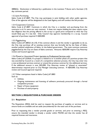2808(2)). Declaration is followed by a publication in the Lewiston Tribune and a fourteen (14) day comment period.

#### 1.5.3 Joint Purchasing

Idaho Code § 67-2807. The City may participate in joint bidding with other public agencies. One of the agencies will be designated as the Lead Agency and will conduct the bid process.

#### 1.5.4 Cooperative Contracts

Idaho Code  $\S$  67-2807. Contracts in which the City is a member and purchasing from the contracts is as if it were our own contract. It does not require bidding but does require some due diligence that the pricing offered in the co-op is a good price compared to what the City would likely pay if it was bid. Only Council may approve membership in a co-op. Council approval of purchase required if ≥\$50,000.

#### 1.5.5 Piggybacking

Idaho Code  $\S$  67-2803(1) & (10). If the contract allows it and the vendor is agreeable to do so, the City may purchase off an existing contract that was formally bid by the State of Idaho, another political subdivision of Idaho, or the federal government. The most common contracts piggybacked by the City are State of Idaho contracts. Amounts ≥\$50,000 require City Attorney review and Council approval.

#### 1.5.6 Phased or Associated Project (pertains to Professional Services only)

Idaho Code § 67-2320(4). If a project is related to or is another phase of a previous project that was awarded by Council as a result of a competitive selection process, the City may enter into a new professional services contract or amend the previous contract for the additional services. If the additional amount is over \$25,000, City Attorney review of "phased or associated" determination required prior to City Manager executing contract. If ≥\$50,000, City Attorney review and Council approval required.

1.5.7 Other exemptions listed in Idaho Code § 67-2803

Such as:

- **•** Utilities:
- Ongoing maintenance and licensing of software previously procured through a formal competitive process
- Repair of heavy equipment
- Purchase of used property

# **SECTION 2: REQUISITIONS & PURCHASE ORDERS**

#### **2.1: Requisition**

The Requisition (REQ) shall be used to request the purchase of supplies or services and to ensure funds are available and set aside (encumbered) for the total cost of the purchase.

Prior to requesting that a vendor provide goods or services, and prior to entering a REQ, ensure the intended vendor is already a vendor within MUNIS and that the vendor has all required licenses and insurances.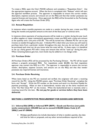To create a REQ, open the City's MUNIS software and complete a "Requisition Entry". Use the appropriate expense account. When the form is completed click "Release" which will start the approval workflow process. The approver is responsible to ensure the correct vendor, description, expense account, and amount are on the REQ and that that vendor possesses any required licenses and insurances. Once approved, the REQ will be forwarded to the Purchasing Agent who will create the Purchase Order (PO).

# **2.2: Annual Requisition**

In instances where monthly payments are made to a vendor during the year, create one REQ listing the months and payment amount at the start of the fiscal year or contract term.

In instances where payments of varying amounts will be made to a vendor during the year (such as office supplies or copier maintenance agreements), create one REQ with a lump sum amount as the quantity and a unit price of \$1.00. This will be turned into a Blanket PO for use to pay invoices as needed throughout the year. A blanket PO is ideal when you know you will need to purchase items from a particular vendor throughout the year, but you do not know what will be purchased each time nor do you know what the costs will be. In these cases, it is beneficial to set up a fairly generic PO with a lump sum amount that will be "used up" during the year. When remaining balance gets low, more funds may be added to it via change order.

# **2.3: Purchase Order**

All Purchase Orders (PO) will be processed by the Purchasing Division . No PO will be issued without a properly processed REQ. For requisitions under \$5,000, the final requisition approver may convert the REQ to a PO. The approver is responsible to ensure the correct vendor, description, expense account, and amount are on the REQ and that that vendor possesses any required licenses and insurances.

# **2.4: Purchase Order Receiving**

When items listed on the PO are received and verified, the originator will enter a receiving record for the PO. Using the MUNIS system, open "Purchase Order Receiving", complete the form, and "Accept". Write the PO number on the invoice and send it to Accounts Payable for payment processing. When an item is backordered, receive only on the items received and write "Do Not Close PO" on the invoice. When the backordered item is received, enter a receiving record for the item. **Do not pay for goods or services before they have been delivered.** 

# **SECTION 3: COMPETETIVE PROCUREMENT FOR GOODS AND SERVICES**

# **3.1: Informal Bid (IIFB) or Informal RFP (IRFP) – Goods and Services (not public works construction) ≥\$50,000 but not to exceed \$100,000 (Idaho Code** §§ **67- 2806(1) and 67-2806A)**

 Written specifications (to include description of what is needed, quantity, due date and time for bids or proposals, and any other terms/conditions required of the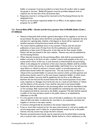bidder or proposer) must be provided to at least three (3) vendors able to supply the goods or services. Bidders/Proposers must be provided adequate time to respond, but not less than three (3) business days.

- Responses must be in writing and be returned to the Purchasing Division by the designated time.
- Award is to the lowest responsive bidder for an IIFB or to the highest-ranked proposer for an IRFP.

# **3.2: Formal Bids (IFB) – Goods and Services greater than \$100,000 (Idaho Code** § **67-2806(2))**

- Notices inviting bids shall include a general description of the supplies or services to be purchased, the place where bid forms and specifications can be obtained, the time and place for opening bids, whether a bid deposit or bond will be required, and whether payment and performance bonds will be required.
- The notice shall be published twice in the Lewiston Tribune with the second publication at least seven (7) days from the first publication and the second publication at least seven (7) days prior to the date set for final receipt of bids. Notice will also be posted to the city's website. Notices may only be published by the Purchasing Division.
- When deemed necessary by the purchasing officer, bids shall be accompanied by bidder's security in the form of cash, a cashier's check made payable to the city, or a surety bond in favor of the city, in such amounts as determined by the purchasing officer to be adequate for protection of the city's interests. Bidders shall be entitled to return of their bid security. A successful bidder shall forfeit his or her bid security upon failure or refusal to execute a contract and/or to provide payment and performance bonds within the required time. The city council may, on failure or refusal of the successful bidder to execute the contract and/or provide payment and performance bonds, award it to the next lowest responsive bidder, in which event, the lowest bidder's security shall be applied by the city first to the difference between the low bid and the second lowest bid, then toward payment of any other costs, expenses or damages incurred by the city as a result of such failure or refusal, and the balance of the security, if any, shall be returned to the lowest bidder.
- Sealed bids shall be submitted to the purchasing officer and shall be identified as bids on the envelope. Bids received after the deadline for submitting the same shall not be accepted and shall be returned to the bidder unopened. The bids shall be opened in public at the time and place stated in the public notice or as stipulated by addendum to the IFB.
- If, in the opinion of the city council, none of the bids is satisfactory, the council may reject all bids and either re-advertise for new bids or, by resolution, purchase the supplies or services in the open market.
- A contract shall generally be awarded to the lowest responsive bidder.
- If two or more bids received are for the same total amount or unit price, quality and service being equal, and if a delay for re-advertisement would not be in the public interest, the city council may accept the bid it chooses.
- Payment and performance bonds may be required to be furnished before entering into a contract with a successful bidder. Bonds shall be in a form satisfactory to the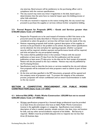city attorney. Bond amount will be satisfactory to the purchasing officer and in compliance with the contract specifications.

- The city council may waive any minor irregularities in the bids, based upon a determination that the same have no material impact upon the bidding process or other bids submitted.
- If no bids are received in response to the notice inviting bids, the city council may proceed to purchase the supplies or services without further competitive bidding.

# **3.3: Formal Request for Proposals (RFP) – Goods and Services greater than \$100,000 (Idaho Code** § **67-2806A)**

- Request for Proposals are to be used instead of Invitation to Bid if the items to be procured cannot be easily described or if factors other than price need to be considered to select the goods or services that will best meet the needs of the city.
- Notices requesting proposals shall include a general description of the supplies or services to be purchased or the problem to be solved, the place where specifications can be obtained, the time and place for opening proposals, whether a proposal security will be required, whether payment and performance bonds will be required, and time and place for any pre-proposal meeting.
- The notice shall be published twice in the Lewiston Tribune with the second publication at least seven (7) days from the first publication and the second publication at least seven (7) days prior to the date set for final receipt of proposals. Notice will also be posted to the city's website. Notices may only be published by the Purchasing Division.
- Specifications need to describe the items or services needed by the city and indicate how proposals will be evaluated and what proposers need to submit as part of their proposal.
- At the time and date specified in the RFP documents, proposals will be opened and the company name of proposers read. To protect the integrity of the evaluation process, proposals will remain confidential until an award recommendation is made to the city council.

# **SECTION 4: COMPETITIVE PROCUREMENT FOR PUBLIC WORKS CONSTRUCTION (Idaho Code** § **67-2805)**

# **4.1: Informal Bid (IIFB) – Public Works Construction ≥\$50,000 but not to exceed \$200,000 (Idaho Code** § **67-2805(2))**

• Written specifications prepared by a licensed design professional must be provided to at least three (3) contractors that have an Idaho Public Works Contractors License in the applicable category or categories. Specifications must include a description of what is needed, quantity, sample contract, due date, time, and location for bids, and any other terms/conditions required of the bidder. Bid Security is required. Bidders must be provided adequate time to respond, but not less than three (3) business days.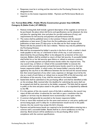- Responses must be in writing and be returned to the Purchasing Division by the designated time.
- Award is to the lowest responsive bidder. Payment and Performance Bonds are required.

# **4.2: Formal Bids (IFB) – Public Works Construction greater than \$200,000, Category A (Idaho Code** § **67-2805(3))**

- Notices inviting bids shall include a general description of the supplies or services to be purchased, the place where bid forms and specifications can be obtained, the time and place for opening bids, time and place for pre-bid conference (if any), and requirements for bid security and payment and performance bonds.
- The notice shall be published twice in the Lewiston Tribune with the second publication at least seven (7) days from the first publication and the second publication at least seven (7) days prior to the date set for final receipt of bids. Notice will also be posted to the city's website. Notices may only be published by the Purchasing Division.
- Bids shall be accompanied by bidder's security in the form of cash, a cashier's check made payable to the city, or a bid bond in favor of the city, in such amounts as determined by the purchasing officer to be adequate for protection of the city's interests. Bidders shall be entitled to return of their bid security. A successful bidder shall forfeit his or her bid security upon failure or refusal to execute a contract and/or to provide payment and performance bonds within the required time. The city council may, on failure or refusal of the successful bidder to execute the contract and/or provide payment and performance bonds, award it to the next lowest responsive bidder, in which event, the lowest bidder's security shall be applied by the city first to the difference between the low bid and the second lowest bid, then toward payment of any other costs, expenses or damages incurred by the city as a result of such failure or refusal (not to exceed 25% of the bid security), and the balance of the security, if any, shall be returned to the lowest bidder.
- Sealed bids shall be submitted to the purchasing officer and shall be identified as bids on the envelope. Bids received after the deadline for submitting the same shall not be accepted and shall be returned to the bidder unopened. The bids shall be opened in public at the time and place stated in the public notice, or as stipulated by addenda to the IFB.
- If, in the opinion of the city council, none of the bids is satisfactory, the council may reject all bids and either re-advertise for new bids or pass a resolution that the supplies or services may be obtained more economically in the open market.
- A contract shall generally be awarded to the lowest responsive bidder.
- If two or more bids received are for the same total amount or unit price, quality and service being equal, and if a delay for re-advertisement would not be in the public interest, the city council may accept the bid it chooses.
- Payment and performance bonds are required to be furnished before entering into a contract with a successful bidder. Bonds shall be in a form satisfactory to the city attorney. Bond amount will be satisfactory to the purchasing officer and in compliance with the contract specifications.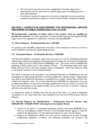- The city council may waive any minor irregularities in the bids, based upon a determination that the same have no material impact upon the bidding process or other bids submitted.
- If no bids are received in response to the notice inviting bids, the city council may proceed to purchase the supplies or services without further competitive bidding.

# **SECTION 5: COMPETITIVE PROCUREMENT FOR PROFESSIONAL SERVICES PERTAINING TO PUBLIC WORKS (Idaho Code** § **67-2320)**

**All professionals, regardless of dollar value of the project, must be qualified to provide the services.** A written agreement is required when total fees will exceed \$10,000. Legal review of the agreement is required for contracts exceeding \$25,000.

# **5.1: Direct Request – Professional Services < \$25,000**

For projects under \$25,000, a department may make a direct request for services to a firm or person qualified to provide the needed design services.

# **5.2: Consultant Roster - Professional Services < \$200,000**

The City shall establish a consultant roster every two years as a tool for obtaining professional engineering, architectural, landscape architectural, land surveying, and construction management services (Idaho Code § 67-2320) valued at \$200,000 or less. This roster shall be established by publishing a RFQ at least twice in the Lewiston Tribune. The Purchasing Agent shall retain SOQs until such time as the next consultant roster is established. A firm may submit an SOQ at any time for inclusion on the Consultant Roster.

The roster is intended to be very generic and submitted Statements of Qualifications may not be adequate for determining which firm is the best qualified for a specific project. Departments may wish to send additional information to possible firms to obtain a better idea of which firm would be the best for a task. For services estimated over \$100,000, the department must send an abbreviated RFQ to at least three seemingly qualified firms from the roster to provide the firms more information on the specific project and to allow the firms to provide a response tailored to the particular project.

If a department wishes to consider firms that are not on the roster, or if there is inadequate competition on the roster (less than three qualified firms), the formal RFQ process must be followed.

# **5.3: Formal Request for Qualifications – Professional Services greater than \$200,000 OR > \$25,000 if NOT selecting from Consultant Roster**

- Process to be used if: 1) anticipated agreement amount will exceed \$200,000; 2) no firms, or an inadequate number of firms, on the Consultant Roster appear to meet the needs of the department; or 3) the department desires to issue a formal request.
- Request for Qualifications (RFQ) are to be used for obtaining the services of design professionals (engineers, architects, and landscape architects) and surveyors and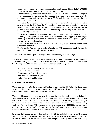construction managers who must be selected on qualifications (Idaho Code § 67-2320). Costs are not an allowed factor during evaluation of firms.

- Notices requesting statements of qualifications (SOQ) shall include a general description of the proposed project and services needed, the place where specifications can be obtained, the time and place for receipt of SOQs, and the time and place of the preresponse conference, if any.
- The notice shall be published twice in the Lewiston Tribune with the second publication at least seven (7) days from the first publication and the second publication at least seven (7) days prior to the date set for final receipt of SOQs. Notice will also be posted to the city's website. Only the Purchasing Division may publish notices for Request for Qualifications.
- The RFQ will include a description of the project, required services, proposal content (including a description of firm, experience, personnel, project approach, and project schedule), selection criteria, contact name and contact information for questions, phone number, and proposal deadline.
- The Purchasing Agent may also solicit SOQs from firm(s) or person(s) by sending them a copy of such notice.
- The Purchasing Agent will send notice of the formal RFQ opportunity to all firms on the consultant roster in the relevant category(ies).

# **5.3.1 Selection Criteria (when using roster or evaluating formal SOQs)**

Selection of professional services shall be based on the criteria developed by the requesting Department Manager and such criteria shall be included in the RFQ. The criteria shall include the following, but additional criteria may be included for specific projects:

- Firm History and Capability to Perform Project
- Relevant Project Experience
- Qualifications of Project Team Members
- Familiarity with Area and Project
- Project Approach and Schedule

# **5.3.2: Selection Procedure**

Where consideration of a single firm's qualifications is permitted by this Policy, the Department Manager or their representative shall evaluate the qualifications to determine that the firm or person is qualified to perform the anticipated services.

When consideration of more than one firm's qualifications is required by this Policy for agreements valued at less than \$200,000, the qualifications shall be reviewed by 1) at least one person if that person has experience and expertise for the services being acquired; or 2) at least two persons if the evaluators do not have experience or expertise for the services being acquired. For the formal RFQ process (agreements valued over \$200,000), at least three persons must review the SOQs. Persons not on City staff may be selected when determined by the Department to be beneficial to the review process.

Reviewers shall independently review and rank the SOQs and shall complete an "Evaluation Form" for each firm considered from the roster or for each firm that submitted a SOQ to a formal RFQ request. Selection criteria are established prior to issuing a formal RFQ or looking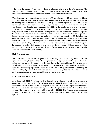at the roster for possible firms. Each reviewer shall rank the firms in order of preference. The rankings of each reviewer shall then be combined to determine a final ranking. After each reviewer has ranked the firms, the committee will meet to discuss the scores.

When interviews are required and the number of firms submitting SOQs, or being considered from the roster, exceeds three, the evaluation and ranking of SOQs shall be used to determine the ranking for invitations to interview. Usually, the three highest-ranked firms will be interviewed. However, a competitive range may be established that will indicate the firms to be interviewed. Interviews for projects under \$200,000 may be conducted by phone, internet, or in person, at the discretion of the project lead. Interviews for projects with an anticipated design services value over \$200,000 will be in person with the project lead determining what the firms are to include in their presentation and/or what the firms need to be prepared to discuss. When interviews are required and the number of firms submitting SOQs is less than three, all firms submitting shall be interviewed. The reviewers shall evaluate the firms based upon their SOQs and information provided at the interview. Each reviewer shall complete an "Evaluation Form" listing each firm considered and the reviewer's evaluation of that firm against the selection criteria. Each reviewer shall rank the firms in order: highest score is ranked number 1, next highest score is number 2, etc. The rankings of each reviewer shall then be combined to determine a final ranking.

# **5.3.3: Negotiations**

The Department Director, or designee, shall initiate negotiations for an agreement with the highest ranked firm, based on the selection procedure. Negotiations shall be to perform the project services at a price determined by the City to be reasonable and fair to the public considering the estimated value, scope, nature, and complexity of the services. If unable to negotiate a satisfactory agreement, negotiations shall be formally terminated by notifying the firm in writing by certified return receipt mail. Once negotiations have been formally terminated, negotiations with the next highest ranked firm may begin.

# **5.3.4: Contract Extension**

Idaho Code § 67-2320(4). When the City Council has previously entered into a professional service agreement with a firm for an associated or phased project, an extended or new professional service agreement may be negotiated with that firm at the Department Director's discretion. In this case, it is not necessary to conduct the qualifications evaluation and selection process. City Attorney review required if amount is > \$25,000. City Manager signs agreement. If ≥\$50,000, Council approval also required. (Also reference Change Order Process chart, page 16).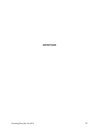**DEFINITIONS**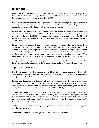# **DEFINITIONS**

*Asset:* All property owned by the City that has monetary value, including salvage value. Recordable assets are valued at greater than \$1,000 and have a useful life of at least three years. Depreciable assets are valued at greater than \$5,000.

*Bid***:** 1. *(noun)* Written offer to provide goods or services for a stated price. 2. *(verb)* Process of obtaining written offers to provide goods and services. The terms "bid" and "proposal" are often used interchangeably, though each has a distinctive meaning.

*Bid Security:* A promise to pay that accompanies an IFB or RFP. It can be in the form of cash, a bid bond, cashier's check, or certified check. The monetary value of the security is forfeited to the City if the awarded bidder or proposer fails to enter into a contract with the City or if the awarded bidder/proposer fails to provide payment and performance bonds following contract execution.

*Bonds:* Legal documents issued by surety companies guaranteeing performance by a contractor. There are bid bonds (see bid security above) and payment and performance bonds. Payment bonds are issued to protect subcontractors and suppliers on a project. If the general contractor does not pay its subcontractors or suppliers, the surety will honor the bond and do so. Performance bonds are issued to ensure the contractor will complete the project. While bonds appear to operate in a similar manner as insurance, they are not insurance policies.

*Change Order:* A change to an existing Purchase Order or Contract. Changes must be within the original scope of the purchase order or contract and be for unforeseen circumstances.

*City:* City of Lewiston, Idaho

*City Department:* Any Department of the City. Current departments are: Community Development, Executive, Administrative Services, Legal, Fire, Police, Parks & Recreation, Library, and Public Works.

*Competitive Procurement:* Selection of supplier, contractor, or firm to provide goods, equipment, services, construction services, or consulting services based on a process that allows participation (competition) by companies able to provide the needed goods or services. "Competitive procurement" methods include IFBs, RFPs, and RFQs.

*Competitive Range:* In regards to RFPs and RFQs, refers to Proposals and Statements of Qualifications that have a reasonable chance of being selected for award. Example for an RFP: A respondent may have a great price and receive a great score for pricing, but have a dismal technical proposal, and would therefore not be eligible for award. This company would not fall within the competitive range.

*Contractor:* Independent business providing services to the City. Often used interchangeably with the term *Vendor*.

**Department Director:** The manager responsible for a city department.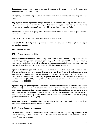*Department Manager:* Refers to the Department Director or to their designated representative for a specific project

**Emergency:** A sudden, urgent, usually unforeseen occurrence or occasion requiring immediate action

*Employee:* A person legally occupying a position in City service, including, but not limited to, regular full-time employees, introductory/probationary employees, part-time regular employees, and temporary employees, as defined by the City of Lewiston Personnel Policy

*Favoritism:* The practice of giving unfair preferential treatment to one person or group at the expense of another

*Firm:* A firm or person offering professional services to the city.

*Household Member:* Spouse, dependent children, and any person the employee is legally obligated to support

*IFB:* Invitation for Bids.

**IIFB:** Informal Invitation for Bids.

*Immediate Family Member:* The spouse/partner, children, children of spouse/partner, spouses of children, parents, parents of spouse/partner, grandparents, grandchildren, siblings (including step brothers and sisters and half brothers and sisters), spouses of siblings, legal guardians, and legal wards, whether living in the same household of the employee or not.

*Informal Invitation for Bids:* Similar to an Invitation for Bids, but with a few notable differences: 1) does not require advertisement in the Lewiston Tribune; 2) still requires written specification documents but they are often not as detailed; 3) specifications must be sent to at least three qualified bidders. For regular goods and services, this method may be used for purchases under \$100,000. For public works construction, this method may be used for projects under \$200,000.

*Informal Request for Proposals:* Similar to a Request for Proposals, but with a few notable differences: 1) does not require advertisement in the Lewiston Tribune; 2) still requires written specification documents but they are often not as detailed; 3) specifications must be sent to at least three qualified proposers. This method may be used for purchases of goods and services under \$100,000, excluding public works construction and professional services requiring qualifications-based-selection (QBS).

**Invitation for Bids:** 1. A published request for submittal of prices for goods or services. 2. All documents associated with the request for prices.

*IRFP:* Informal Request for Proposals

*On-Premise or On-Site:* Any service work performed for the City on City property or on private property at the request of the City. This does not include work performed at the vendor's business location.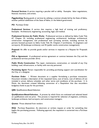*Personal Services:* A service requiring a peculiar skill or ability. Examples: labor negotiations, financial, insurance, and artistic.

*Piggybacking:* Buying goods or services by utilizing a contract already bid by the State of Idaho, another political subdivision of the State of Idaho, or the federal government.

*PO:* Purchase Order

*Professional Services:* A service that requires a high level of training and proficiency. Examples:Architectural, engineering, accounting, legal, and medical.

*Professional Services for Public Works:* Professional services as defined by Idaho Code Title 67, Chapter 23, including professional engineering, architectural, landscape architectural, construction management, and professional land surveying services, including services by persons licensed pursuant to Idaho Code Title 54, Chapters 3 (architects), 12 (engineers and surveyors), 30 (landscape architects), and 45 (public works construction management).

**Proposal:** An offer to provide goods and/or services in response to a Request for Proposals (RFP).

**PSA or Agreement:** A professional service agreement or contract between the City and the professional services provider (firm)

*Public Works Construction:* The repair, maintenance, construction, or remodel of any City building, road, infrastructure, or facility with non-city personnel.

*Purchasing Agent:* Person responsible for providing purchasing support and coordination for the City, or a designee

**Purchase Order:** 1. Written document to a supplier formalizing a purchase transaction. Document includes a description of the requested items, cost of items, cost of delivery (if not included in price), delivery schedule, and other terms and conditions of the purchase. 2. In Munis, the document created following conversion of a Requisition that also encumbers budgetary funds to pay for the purchase.

**QBS:** Qualifications-Based-Selection

*Qualifications-Based-Selection:* A process by which firms are evaluated and selected based on qualifications and not price. This process is required for selection of engineers, architects, landscape architects, land surveyors, and construction managers.

*Quotes:* Prices obtained from vendors

*REQ:* Purchase Requisition. An electronic or written request or order for something that begins the purchasing process. Following approval, the requisition is converted into a Purchase Order.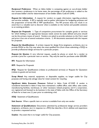*Reciprocal Preference:* When an Idaho bidder is competing against an out-of-state bidder that receives a preference in its home state, the percentage of the preference is added to the out-of-state bidder's bid for determination of low bidder (Idaho Code 67-2349).

*Request for Information:* A request for vendors to supply information regarding products and services available. A RFI is typically used to gather information for budgeting purposes and the preparation of formal IFB or RFP specifications. The RFI process does not result in an award but is a valuable tool to discover what is available on the market and possible solutions to an existing problem.

*Request for Proposals:* 1. Type of competitive procurement for complex goods or services for which bidding is not appropriate because needs cannot be easily defined and price should not be the primary means of award. Vendors are asked to provide solutions to the City's need and price is but one of several evaluation criteria. 2. All documents associated with the request for proposals.

*Request for Qualifications:* A written request for design firms (engineers, architects, etc.) to provide SOQs so the City may select the most qualified firm (from those submitting a SOQ) to provide professional design services for a particular project.

*Request for Quotes:* A very informal request, usually by phone or email, for a vendor to provide a price for a particular item or service. May only be used for purchases under \$50,000.

**RFI:** Request for Information

*RFP:* Request for Proposals

*RFQ:* Request for Qualifications (relates to professional services) or Request for Quotation (relates to goods and services)

*Scrap Metal:* Any material, equipment, or disposable supplies, no longer usable for City purposes and having only salvage value for metal content for recycling

*Significant Idaho Economic Presence:* Defined in Idaho Code 67-2349. A vendor is considered domiciled in Idaho if they have maintained a staffed office, sales office, sales outlet, manufacturing facilities, warehouse, or other necessary related property; and if a corporation, are registered and licensed to do business in the state of Idaho with the Office of the Secretary of State for at least one (1) year prior to submitting a bid.

*SOQ:* Statement of Qualifications

*Sole Source:* When a specific item or service is available from only one vendor

*Statement of Qualifications:* Documents submitted by professional design service providers (engineers, architects, etc.) in response to a RFQ that describe a firm's abilities and experience to provide a requested service.

*Surplus:* Any asset that is no longer useful for City purposes.